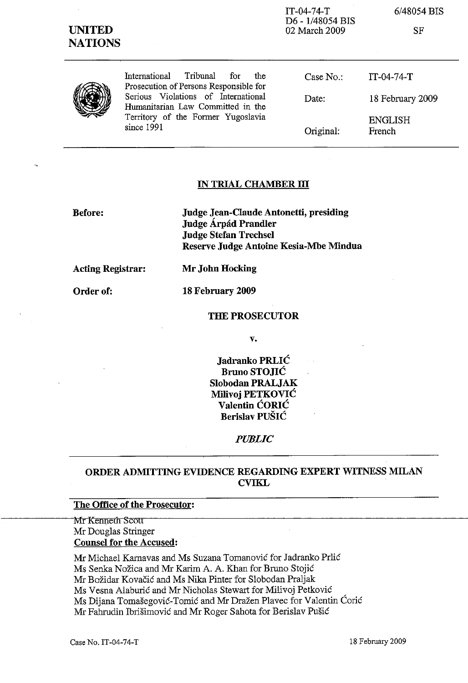| <b>UNITED</b><br><b>NATIONS</b> |                                                                                                                              | $IT-04-74-T$<br>D6 - 1/48054 BIS<br>02 March 2009 | 6/48054 BIS<br>SF        |
|---------------------------------|------------------------------------------------------------------------------------------------------------------------------|---------------------------------------------------|--------------------------|
|                                 | Tribunal<br>International<br>for<br>the<br>Prosecution of Persons Responsible for                                            | Case $No.$ :                                      | $IT-04-74-T$             |
|                                 | Serious Violations of International<br>Humanitarian Law Committed in the<br>Territory of the Former Yugoslavia<br>since 1991 | Date:                                             | 18 February 2009         |
|                                 |                                                                                                                              | Original:                                         | <b>ENGLISH</b><br>French |

# **IN TRIAL CHAMBER ill**

**Before:**

**Judge Jean-Claude Antonetti, presiding Judge Arpad Prandler Judge Stefan Trechsel Reserve Judge Antoine Kesia-Mbe Mindua**

**Acting Registrar:**

**Order of:**

**18 February 2009**

**Mr John Hocking**

### **THE PROSECUTOR**

**v.**

**Jadranko PRLIC Bruno STOJIC Slobodan PRALJAK Milivoj PETKOVIC Valentin CORIC Berislav PUSIC**

## *PUBLIC*

# **ORDER ADMITTING EVIDENCE REGARDING EXPERT WITNESS MILAN CVIKL**

# **The Office of the Prosecutor:**

~~~~~~~MrKennetl1Sco1l'~~~~~~~~~~~~~~~~~~~~~~~~~~~~~ Mr Douglas Stringer **Counsel for the Accused:**

Mr Michael Karnavas and Ms Suzana Tomanovic for Jadranko Prlic

Ms Senka Nožica and Mr Karim A. A. Khan for Bruno Stojić

Mr Bozidar Kovacic and Ms Nika Pinter for Slobodan Praljak

Ms Vesna Alaburic and Mr Nicholas Stewart for Milivoj Petkovic

Ms Dijana Tomašegović-Tomić and Mr Dražen Plavec for Valentin Ćorić

Mr Fahrudin Ibrisimovic and Mr Roger Sahota for Berislav Pusic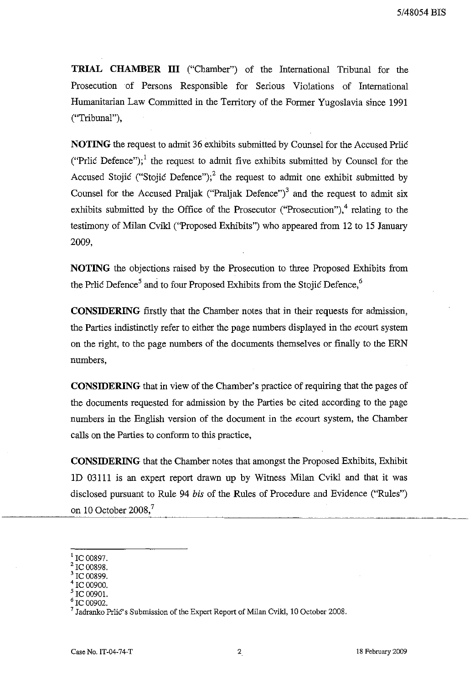**TRIAL CHAMBER III** ("Chamber") of the International Tribunal for the Prosecution of Persons Responsible for Serious Violations of International Humanitarian Law Committed in the Territory of the Former Yugoslavia since 1991 ("Tribunal"),

**NOTING** the request to admit 36 exhibits submitted by Counsel for the Accused Prlic ("Prlic Defence");<sup>1</sup> the request to admit five exhibits submitted by Counsel for the Accused Stojić ("Stojić Defence");<sup>2</sup> the request to admit one exhibit submitted by Counsel for the Accused Praljak ("Praljak Defence")<sup>3</sup> and the request to admit six exhibits submitted by the Office of the Prosecutor ("Prosecution"), $4$  relating to the testimony of Milan Cvikl ("Proposed Exhibits") who appeared from 12 to 15 January 2009,

**NOTING** the objections raised by the Prosecution to three Proposed Exhibits from the Prlic Defence<sup>5</sup> and to four Proposed Exhibits from the Stojic Defence,<sup>6</sup>

**CONSIDERING** firstly that the Chamber notes that in their requests for admission, the Parties indistinctly refer to either the page numbers displayed in the *ecourt* system on the right, to the page numbers of the documents themselves or finally to the ERN numbers,

**CONSIDERING** that in view of the Chamber's practice of requiring that the pages of the documents requested for admission by the Parties be cited according to the page numbers in the English version of the document in the *ecourt* system, the Chamber calls on the Parties to conform to this practice,

**CONSIDERING** that the Chamber notes that amongst the Proposed Exhibits, Exhibit lD 03111 is an expert report drawn up by Witness Milan Cvikl and that it was disclosed pursuant to Rule 94 *bis* of the Rules of Procedure and Evidence ("Rules") on 10 October 2008,<sup>7</sup>

IC 00897.

<sup>2 00898.</sup> 

<sup>3</sup> IC 00899.

IC 00900.

IC 00901.

IC 00902.

Jadranko Prlic's Submission of the Expert Report of Milan Cvikl, 10 October 2008.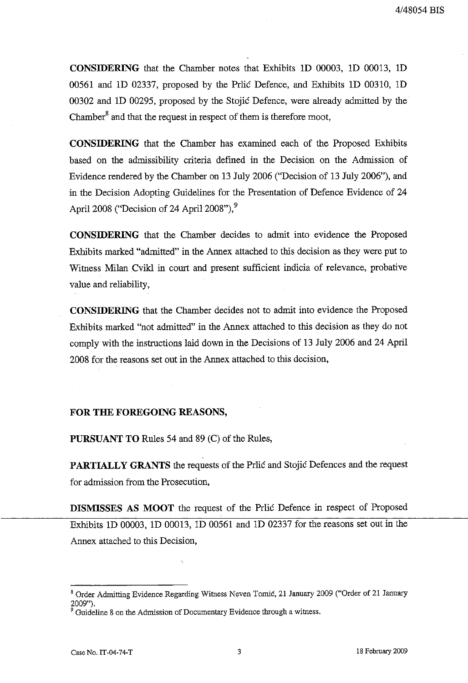**CONSIDERING** that the Chamber notes that Exhibits 1D 00003, 1D 00013, 1D 00561 and 10 02337, proposed by the Prlic Defence, and Exhibits 10 00310, 10 00302 and ID 00295, proposed by the Stojic Defence, were already admitted by the Chamber $^8$  and that the request in respect of them is therefore moot,

**CONSIDERING** that the Chamber has examined each of the Proposed Exhibits based on the admissibility criteria defined in the Decision on the Admission of Evidence rendered by the Chamber on 13 July 2006 ("Decision of 13 July 2006"), and in the Decision Adopting Guidelines for the Presentation of Defence Evidence of 24 April 2008 ("Decision of 24 April 2008"), $9$ 

**CONSIDERING** that the Chamber decides to admit into evidence the Proposed Exhibits marked "admitted" in the Annex attached to this decision as they were put to Witness Milan Cvikl in court and present sufficient indicia of relevance, probative value and reliability,

**CONSIDERING** that the Chamber decides not to admit into evidence the Proposed Exhibits marked "not admitted" in the Annex attached to this decision as they do not comply with the instructions laid down in the Decisions of 13 July 2006 and 24 April 2008 for the reasons set out in the Annex attached to this decision,

### **FOR THE FOREGOING REASONS,**

**PURSUANT TO** Rules 54 and 89 (C) of the Rules,

**PARTIALLY GRANTS** the requests of the Prlic and Stojic Defences and the request for admission from the Prosecution,

**DISMISSES AS MOOT** the request of the Prlic Defence in respect of Proposed Exhibits 10 00003, 10 00013, 10 00561 and 10 02337 for the reasons set out in the Annex attached to this Decision,

<sup>8</sup> Order Admitting Evidence Regarding Witness Neven Tomic, 21 January 2009 ("Order of 21 January 2009").

<sup>&</sup>lt;sup>9</sup> Guideline 8 on the Admission of Documentary Evidence through a witness.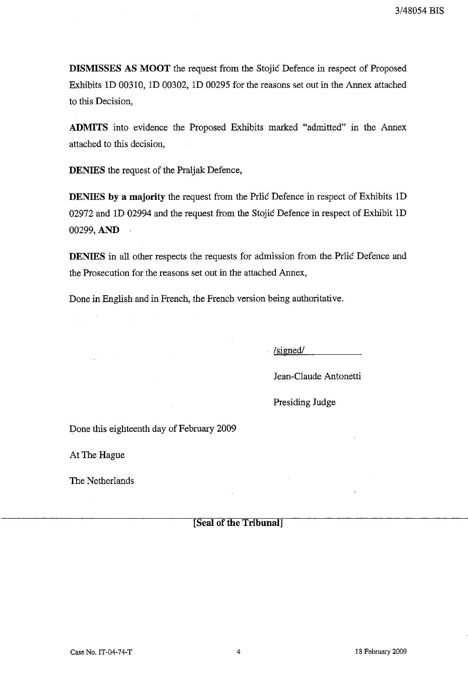**DISMISSES AS MOOT** the request from the Stojic Defence in respect of Proposed Exhibits 1D 00310, 1D 00302, 1D 00295 for the reasons set out in the Annex attached to this Decision,

**ADMITS** into evidence the Proposed Exhibits marked "admitted" in the Annex attached to this decision,

**DENIES** the request of the Praljak Defence,

**DENIES by a majority** the request from the Prlic Defence in respect of Exhibits 1D 02972 and 1D 02994 and the request from the Stojic Defence in respect of Exhibit 1D 00299, **AND**

**DENIES** in all other respects the requests for admission from the Prlic Defence and the Prosecution for the reasons set out in the attached Annex,

Done in English and in French, the French version being authoritative.

. /sizned/

Jean-Claude Antonetti

Presiding Judge

Done this eighteenth day of February 2009

At The Hague

 $\mathcal{L}_{\rm{int}}$ 

The Netherlands

**[Seal of the Tribunal]**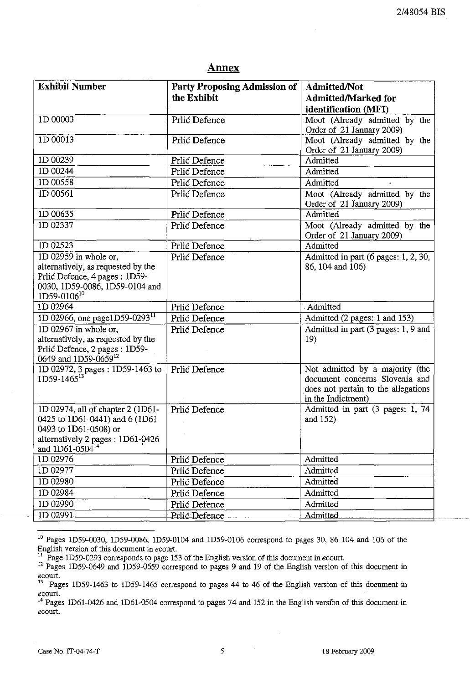## **Annex**

| <b>Exhibit Number</b>                                                                                                             | Party Proposing Admission of<br>the Exhibit | <b>Admitted/Not</b><br><b>Admitted/Marked for</b>                                                                              |
|-----------------------------------------------------------------------------------------------------------------------------------|---------------------------------------------|--------------------------------------------------------------------------------------------------------------------------------|
|                                                                                                                                   |                                             | identification (MFI)                                                                                                           |
| 1D 00003                                                                                                                          | Prlić Defence                               | Moot (Already admitted by the<br>Order of 21 January 2009)                                                                     |
| 1D 00013                                                                                                                          | Prlić Defence                               | Moot (Already admitted by the<br>Order of 21 January 2009)                                                                     |
| 1D 00239                                                                                                                          | Prlić Defence                               | Admitted                                                                                                                       |
| 1D 00244                                                                                                                          | Prlić Defence                               | Admitted                                                                                                                       |
| 1D 00558                                                                                                                          | Prlić Defence                               | Admitted                                                                                                                       |
| 1D 00561                                                                                                                          | Prlić Defence                               | Moot (Already admitted by the<br>Order of 21 January 2009)                                                                     |
| 1D 00635                                                                                                                          | Prlić Defence                               | Admitted                                                                                                                       |
| 1D 02337                                                                                                                          | Prlić Defence                               | Moot (Already admitted by the<br>Order of 21 January 2009)                                                                     |
| ID 02523                                                                                                                          | Prlić Defence                               | Admitted                                                                                                                       |
| 1D 02959 in whole or,                                                                                                             | Prlić Defence                               | Admitted in part (6 pages: 1, 2, 30,                                                                                           |
| alternatively, as requested by the<br>Prlić Defence, 4 pages : 1D59-<br>0030, 1D59-0086, 1D59-0104 and<br>1D59-0106 <sup>10</sup> |                                             | 86, 104 and 106)                                                                                                               |
| 1D 02964                                                                                                                          | Prlić Defence                               | Admitted                                                                                                                       |
| 1D 02966, one page1D59-0293 <sup>11</sup>                                                                                         | Prlić Defence                               | Admitted (2 pages: 1 and 153)                                                                                                  |
| 1D 02967 in whole or,                                                                                                             | Prlić Defence                               | Admitted in part (3 pages: 1, 9 and                                                                                            |
| alternatively, as requested by the                                                                                                |                                             | 19)                                                                                                                            |
| Prlić Defence, 2 pages: 1D59-<br>0649 and 1D59-0659 <sup>12</sup>                                                                 |                                             |                                                                                                                                |
| 1D 02972, 3 pages: 1D59-1463 to<br>$1D59 - 1465^{13}$                                                                             | Prlić Defence                               | Not admitted by a majority (the<br>document concerns Slovenia and<br>does not pertain to the allegations<br>in the Indictment) |
| 1D 02974, all of chapter 2 (1D61-                                                                                                 | Prlić Defence                               | Admitted in part (3 pages: 1, 74                                                                                               |
| 0425 to 1D61-0441) and 6 (1D61-                                                                                                   |                                             | and 152)                                                                                                                       |
| 0493 to 1D61-0508) or                                                                                                             |                                             |                                                                                                                                |
| % alternatively 2 pages : 1D61-0426 and $1D61-0504^{14}$                                                                          |                                             |                                                                                                                                |
| 1D 02976                                                                                                                          | Prlić Defence                               | Admitted                                                                                                                       |
| 1D 02977                                                                                                                          | Prlić Defence                               | Admitted                                                                                                                       |
| 1D 02980                                                                                                                          | Prlić Defence                               | Admitted                                                                                                                       |
| 1D 02984                                                                                                                          | Prlić Defence                               | Admitted                                                                                                                       |
| 1D 02990                                                                                                                          | Prlić Defence                               | Admitted                                                                                                                       |
| 1D02991                                                                                                                           | Prlic Defence                               | Admitted                                                                                                                       |

 $10$  Pages 1D59-0030, 1D59-0086, 1D59-0104 and 1D59-0106 correspond to pages 30, 86 104 and 106 of the English version of this document in ecourt.

 $1!$  Page 1D59-0293 corresponds to page 153 of the English version of this document in ecourt.

 $12$  Pages 1D59-0649 and 1D59-0659 correspond to pages 9 and 19 of the English version of this document in  $e$ court.<br><sup>13</sup> D<sub>0</sub>-

<sup>13</sup> Pages ID59-1463 to ID59-1465 correspond to pages 44 to 46 of the English version of this document in **ecourt.**

 $14$  Pages 1D61-0426 and 1D61-0504 correspond to pages 74 and 152 in the English version of this document in ecourt.